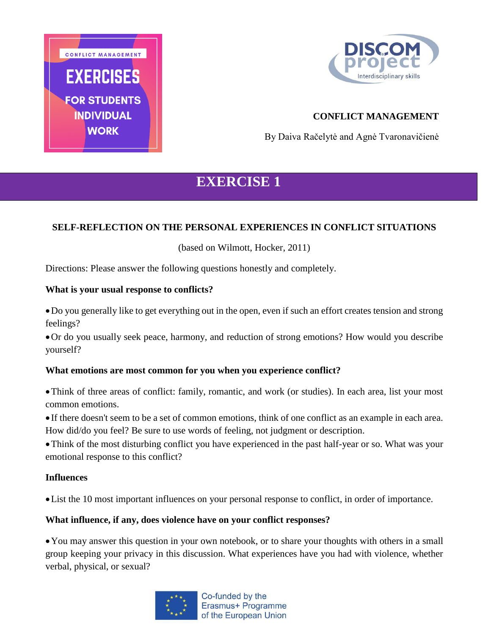



## **CONFLICT MANAGEMENT**

By Daiva Račelytė and Agnė Tvaronavičienė

# **EXERCISE 1**

## **SELF-REFLECTION ON THE PERSONAL EXPERIENCES IN CONFLICT SITUATIONS**

(based on Wilmott, Hocker, 2011)

Directions: Please answer the following questions honestly and completely.

#### **What is your usual response to conflicts?**

Do you generally like to get everything out in the open, even if such an effort creates tension and strong feelings?

Or do you usually seek peace, harmony, and reduction of strong emotions? How would you describe yourself?

#### **What emotions are most common for you when you experience conflict?**

Think of three areas of conflict: family, romantic, and work (or studies). In each area, list your most common emotions.

 If there doesn't seem to be a set of common emotions, think of one conflict as an example in each area. How did/do you feel? Be sure to use words of feeling, not judgment or description.

Think of the most disturbing conflict you have experienced in the past half-year or so. What was your emotional response to this conflict?

#### **Influences**

List the 10 most important influences on your personal response to conflict, in order of importance.

#### **What influence, if any, does violence have on your conflict responses?**

You may answer this question in your own notebook, or to share your thoughts with others in a small group keeping your privacy in this discussion. What experiences have you had with violence, whether verbal, physical, or sexual?

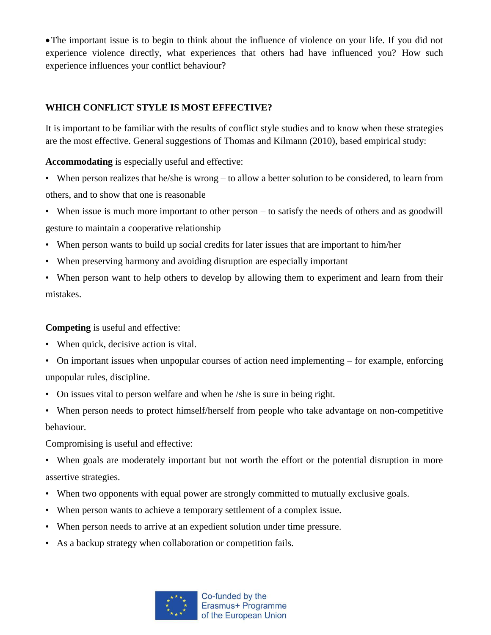The important issue is to begin to think about the influence of violence on your life. If you did not experience violence directly, what experiences that others had have influenced you? How such experience influences your conflict behaviour?

## **WHICH CONFLICT STYLE IS MOST EFFECTIVE?**

It is important to be familiar with the results of conflict style studies and to know when these strategies are the most effective. General suggestions of Thomas and Kilmann (2010), based empirical study:

**Accommodating** is especially useful and effective:

• When person realizes that he/she is wrong – to allow a better solution to be considered, to learn from others, and to show that one is reasonable

• When issue is much more important to other person – to satisfy the needs of others and as goodwill gesture to maintain a cooperative relationship

- When person wants to build up social credits for later issues that are important to him/her
- When preserving harmony and avoiding disruption are especially important
- When person want to help others to develop by allowing them to experiment and learn from their mistakes.

## **Competing** is useful and effective:

- When quick, decisive action is vital.
- On important issues when unpopular courses of action need implementing for example, enforcing unpopular rules, discipline.
- On issues vital to person welfare and when he /she is sure in being right.
- When person needs to protect himself/herself from people who take advantage on non-competitive behaviour.

Compromising is useful and effective:

- When goals are moderately important but not worth the effort or the potential disruption in more assertive strategies.
- When two opponents with equal power are strongly committed to mutually exclusive goals.
- When person wants to achieve a temporary settlement of a complex issue.
- When person needs to arrive at an expedient solution under time pressure.
- As a backup strategy when collaboration or competition fails.

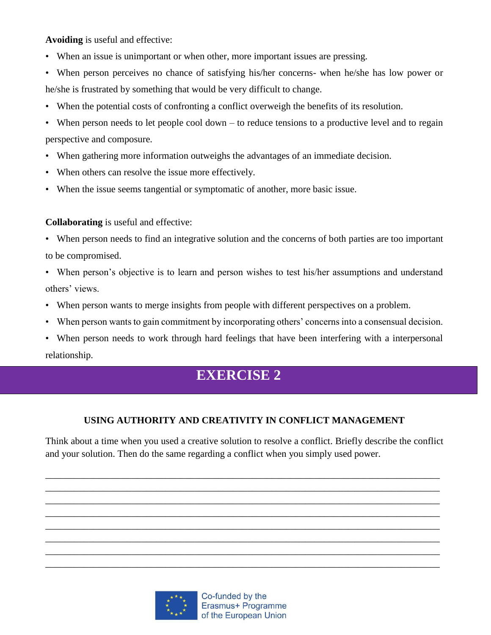**Avoiding** is useful and effective:

- When an issue is unimportant or when other, more important issues are pressing.
- When person perceives no chance of satisfying his/her concerns- when he/she has low power or he/she is frustrated by something that would be very difficult to change.
- When the potential costs of confronting a conflict overweigh the benefits of its resolution.
- When person needs to let people cool down to reduce tensions to a productive level and to regain perspective and composure.
- When gathering more information outweighs the advantages of an immediate decision.
- When others can resolve the issue more effectively.
- When the issue seems tangential or symptomatic of another, more basic issue.

## **Collaborating** is useful and effective:

- When person needs to find an integrative solution and the concerns of both parties are too important to be compromised.
- When person's objective is to learn and person wishes to test his/her assumptions and understand others' views.
- When person wants to merge insights from people with different perspectives on a problem.
- When person wants to gain commitment by incorporating others' concerns into a consensual decision.
- When person needs to work through hard feelings that have been interfering with a interpersonal relationship.

# **EXERCISE 2**

# **USING AUTHORITY AND CREATIVITY IN CONFLICT MANAGEMENT**

Think about a time when you used a creative solution to resolve a conflict. Briefly describe the conflict and your solution. Then do the same regarding a conflict when you simply used power.

\_\_\_\_\_\_\_\_\_\_\_\_\_\_\_\_\_\_\_\_\_\_\_\_\_\_\_\_\_\_\_\_\_\_\_\_\_\_\_\_\_\_\_\_\_\_\_\_\_\_\_\_\_\_\_\_\_\_\_\_\_\_\_\_\_\_\_\_\_\_\_\_\_\_\_\_\_\_\_\_\_\_ \_\_\_\_\_\_\_\_\_\_\_\_\_\_\_\_\_\_\_\_\_\_\_\_\_\_\_\_\_\_\_\_\_\_\_\_\_\_\_\_\_\_\_\_\_\_\_\_\_\_\_\_\_\_\_\_\_\_\_\_\_\_\_\_\_\_\_\_\_\_\_\_\_\_\_\_\_\_\_\_\_\_ \_\_\_\_\_\_\_\_\_\_\_\_\_\_\_\_\_\_\_\_\_\_\_\_\_\_\_\_\_\_\_\_\_\_\_\_\_\_\_\_\_\_\_\_\_\_\_\_\_\_\_\_\_\_\_\_\_\_\_\_\_\_\_\_\_\_\_\_\_\_\_\_\_\_\_\_\_\_\_\_\_\_ \_\_\_\_\_\_\_\_\_\_\_\_\_\_\_\_\_\_\_\_\_\_\_\_\_\_\_\_\_\_\_\_\_\_\_\_\_\_\_\_\_\_\_\_\_\_\_\_\_\_\_\_\_\_\_\_\_\_\_\_\_\_\_\_\_\_\_\_\_\_\_\_\_\_\_\_\_\_\_\_\_\_ \_\_\_\_\_\_\_\_\_\_\_\_\_\_\_\_\_\_\_\_\_\_\_\_\_\_\_\_\_\_\_\_\_\_\_\_\_\_\_\_\_\_\_\_\_\_\_\_\_\_\_\_\_\_\_\_\_\_\_\_\_\_\_\_\_\_\_\_\_\_\_\_\_\_\_\_\_\_\_\_\_\_ \_\_\_\_\_\_\_\_\_\_\_\_\_\_\_\_\_\_\_\_\_\_\_\_\_\_\_\_\_\_\_\_\_\_\_\_\_\_\_\_\_\_\_\_\_\_\_\_\_\_\_\_\_\_\_\_\_\_\_\_\_\_\_\_\_\_\_\_\_\_\_\_\_\_\_\_\_\_\_\_\_\_ \_\_\_\_\_\_\_\_\_\_\_\_\_\_\_\_\_\_\_\_\_\_\_\_\_\_\_\_\_\_\_\_\_\_\_\_\_\_\_\_\_\_\_\_\_\_\_\_\_\_\_\_\_\_\_\_\_\_\_\_\_\_\_\_\_\_\_\_\_\_\_\_\_\_\_\_\_\_\_\_\_\_ \_\_\_\_\_\_\_\_\_\_\_\_\_\_\_\_\_\_\_\_\_\_\_\_\_\_\_\_\_\_\_\_\_\_\_\_\_\_\_\_\_\_\_\_\_\_\_\_\_\_\_\_\_\_\_\_\_\_\_\_\_\_\_\_\_\_\_\_\_\_\_\_\_\_\_\_\_\_\_\_\_\_

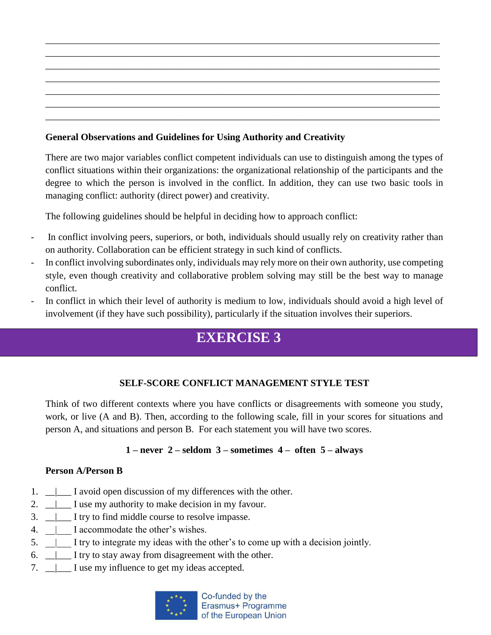## **General Observations and Guidelines for Using Authority and Creativity**

There are two major variables conflict competent individuals can use to distinguish among the types of conflict situations within their organizations: the organizational relationship of the participants and the degree to which the person is involved in the conflict. In addition, they can use two basic tools in managing conflict: authority (direct power) and creativity.

The following guidelines should be helpful in deciding how to approach conflict:

- In conflict involving peers, superiors, or both, individuals should usually rely on creativity rather than on authority. Collaboration can be efficient strategy in such kind of conflicts.
- In conflict involving subordinates only, individuals may rely more on their own authority, use competing style, even though creativity and collaborative problem solving may still be the best way to manage conflict.
- In conflict in which their level of authority is medium to low, individuals should avoid a high level of involvement (if they have such possibility), particularly if the situation involves their superiors.

# **EXERCISE 3**

# **SELF-SCORE CONFLICT MANAGEMENT STYLE TEST**

Think of two different contexts where you have conflicts or disagreements with someone you study, work, or live (A and B). Then, according to the following scale, fill in your scores for situations and person A, and situations and person B. For each statement you will have two scores.

## **1 – never 2 – seldom 3 – sometimes 4 – often 5 – always**

## **Person A/Person B**

- 1.  $\Box$  I avoid open discussion of my differences with the other.
- 2.  $\Box$  I use my authority to make decision in my favour.
- 3.  $\Box$  I try to find middle course to resolve impasse.
- 4.  $\Box$  I accommodate the other's wishes.
- 5. \_\_|\_\_\_ I try to integrate my ideas with the other's to come up with a decision jointly.
- 6.  $\Box$  I try to stay away from disagreement with the other.
- 7.  $\Box$  I use my influence to get my ideas accepted.

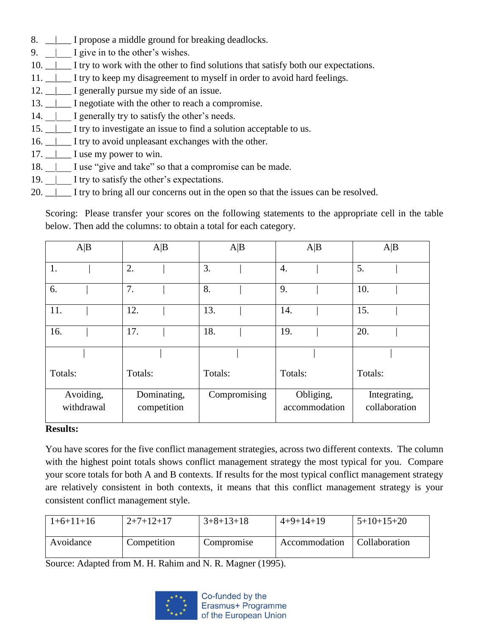- 8.  $\Box$  I propose a middle ground for breaking deadlocks.
- 9.  $\Box$  I give in to the other's wishes.
- 10.  $\Box$  I try to work with the other to find solutions that satisfy both our expectations.
- 11.  $\Box$  I try to keep my disagreement to myself in order to avoid hard feelings.
- 12.  $\Box$  I generally pursue my side of an issue.
- 13.  $\Box$  I negotiate with the other to reach a compromise.
- 14.  $\parallel$  I generally try to satisfy the other's needs.
- 15. \_\_|\_\_\_ I try to investigate an issue to find a solution acceptable to us.
- 16.  $\Box$  I try to avoid unpleasant exchanges with the other.
- $17.$  <u>|</u> \_\_\_ I use my power to win.
- 18.  $\Box$  I use "give and take" so that a compromise can be made.
- 19.  $\parallel$  I try to satisfy the other's expectations.
- 20.  $\parallel$  I try to bring all our concerns out in the open so that the issues can be resolved.

Scoring: Please transfer your scores on the following statements to the appropriate cell in the table below. Then add the columns: to obtain a total for each category.

| A B                     | A B                        | A B          | A B                        | A B                           |
|-------------------------|----------------------------|--------------|----------------------------|-------------------------------|
| 1.                      | 2.                         | 3.           | 4.                         | 5.                            |
| 6.                      | 7.                         | 8.           | 9.                         | 10.                           |
| 11.                     | 12.                        | 13.          | 14.                        | 15.                           |
| 16.                     | 17.                        | 18.          | 19.                        | 20.                           |
|                         |                            |              |                            |                               |
| Totals:                 | Totals:                    | Totals:      | Totals:                    | Totals:                       |
| Avoiding,<br>withdrawal | Dominating,<br>competition | Compromising | Obliging,<br>accommodation | Integrating,<br>collaboration |

#### **Results:**

You have scores for the five conflict management strategies, across two different contexts. The column with the highest point totals shows conflict management strategy the most typical for you. Compare your score totals for both A and B contexts. If results for the most typical conflict management strategy are relatively consistent in both contexts, it means that this conflict management strategy is your consistent conflict management style.

| $1+6+11+16$ | $2+7+12+17$ | $3+8+13+18$ | $4+9+14+19$   | $5+10+15+20$  |
|-------------|-------------|-------------|---------------|---------------|
| Avoidance   | Competition | Compromise  | Accommodation | Collaboration |

Source: Adapted from M. H. Rahim and N. R. Magner (1995).